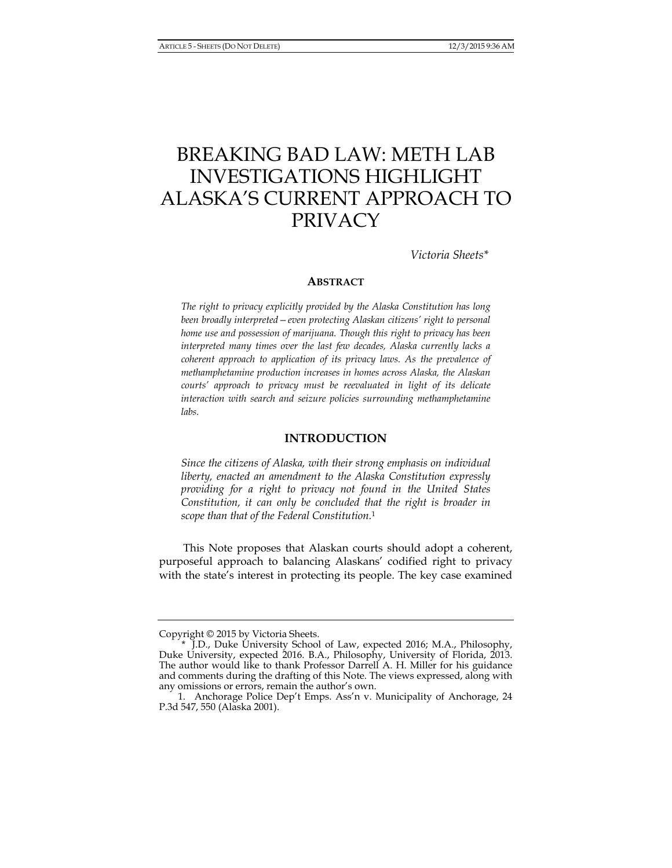# BREAKING BAD LAW: METH LAB INVESTIGATIONS HIGHLIGHT ALASKA'S CURRENT APPROACH TO PRIVACY

*Victoria Sheets\** 

#### **ABSTRACT**

*The right to privacy explicitly provided by the Alaska Constitution has long been broadly interpreted—even protecting Alaskan citizens' right to personal home use and possession of marijuana. Though this right to privacy has been interpreted many times over the last few decades, Alaska currently lacks a coherent approach to application of its privacy laws. As the prevalence of methamphetamine production increases in homes across Alaska, the Alaskan courts' approach to privacy must be reevaluated in light of its delicate interaction with search and seizure policies surrounding methamphetamine labs.* 

# **INTRODUCTION**

*Since the citizens of Alaska, with their strong emphasis on individual liberty, enacted an amendment to the Alaska Constitution expressly providing for a right to privacy not found in the United States Constitution, it can only be concluded that the right is broader in scope than that of the Federal Constitution.*<sup>1</sup>

This Note proposes that Alaskan courts should adopt a coherent, purposeful approach to balancing Alaskans' codified right to privacy with the state's interest in protecting its people. The key case examined

Copyright © 2015 by Victoria Sheets.

 <sup>\*</sup> J.D., Duke University School of Law, expected 2016; M.A., Philosophy, Duke University, expected 2016. B.A., Philosophy, University of Florida, 2013. The author would like to thank Professor Darrell A. H. Miller for his guidance and comments during the drafting of this Note. The views expressed, along with any omissions or errors, remain the author's own.

 <sup>1.</sup> Anchorage Police Dep't Emps. Ass'n v. Municipality of Anchorage, 24 P.3d 547, 550 (Alaska 2001).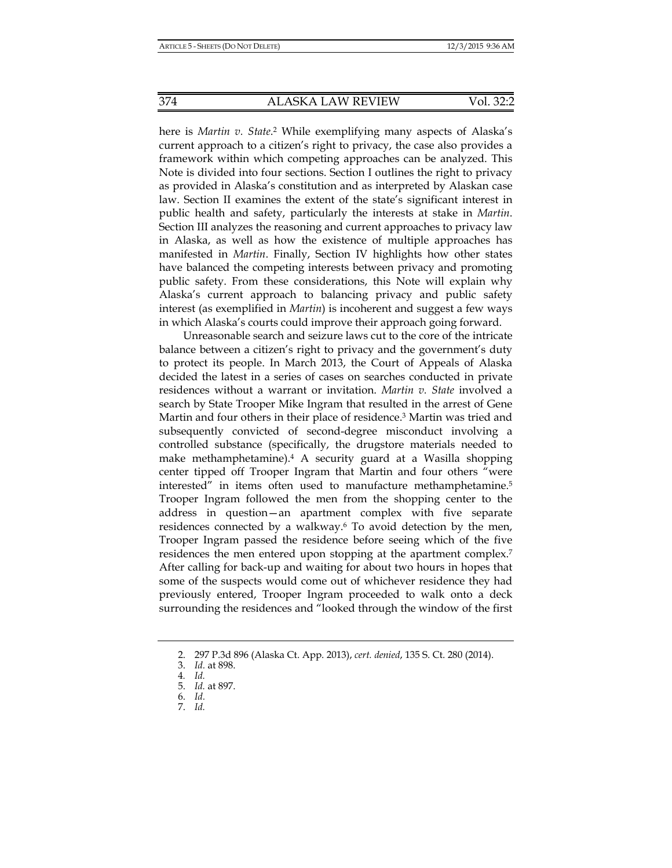374 ALASKA LAW REVIEW Vol. 32:2

here is *Martin v. State*. 2 While exemplifying many aspects of Alaska's current approach to a citizen's right to privacy, the case also provides a framework within which competing approaches can be analyzed. This Note is divided into four sections. Section I outlines the right to privacy as provided in Alaska's constitution and as interpreted by Alaskan case law. Section II examines the extent of the state's significant interest in public health and safety, particularly the interests at stake in *Martin*. Section III analyzes the reasoning and current approaches to privacy law in Alaska, as well as how the existence of multiple approaches has manifested in *Martin*. Finally, Section IV highlights how other states have balanced the competing interests between privacy and promoting public safety. From these considerations, this Note will explain why Alaska's current approach to balancing privacy and public safety interest (as exemplified in *Martin*) is incoherent and suggest a few ways in which Alaska's courts could improve their approach going forward.

Unreasonable search and seizure laws cut to the core of the intricate balance between a citizen's right to privacy and the government's duty to protect its people. In March 2013, the Court of Appeals of Alaska decided the latest in a series of cases on searches conducted in private residences without a warrant or invitation. *Martin v. State* involved a search by State Trooper Mike Ingram that resulted in the arrest of Gene Martin and four others in their place of residence.3 Martin was tried and subsequently convicted of second-degree misconduct involving a controlled substance (specifically, the drugstore materials needed to make methamphetamine).4 A security guard at a Wasilla shopping center tipped off Trooper Ingram that Martin and four others "were interested" in items often used to manufacture methamphetamine.5 Trooper Ingram followed the men from the shopping center to the address in question—an apartment complex with five separate residences connected by a walkway.<sup>6</sup> To avoid detection by the men, Trooper Ingram passed the residence before seeing which of the five residences the men entered upon stopping at the apartment complex.7 After calling for back-up and waiting for about two hours in hopes that some of the suspects would come out of whichever residence they had previously entered, Trooper Ingram proceeded to walk onto a deck surrounding the residences and "looked through the window of the first

 <sup>2. 297</sup> P.3d 896 (Alaska Ct. App. 2013), *cert. denied*, 135 S. Ct. 280 (2014).

 <sup>3.</sup> *Id.* at 898.

<sup>4</sup>*. Id.*

 <sup>5.</sup> *Id.* at 897.

 <sup>6.</sup> *Id.*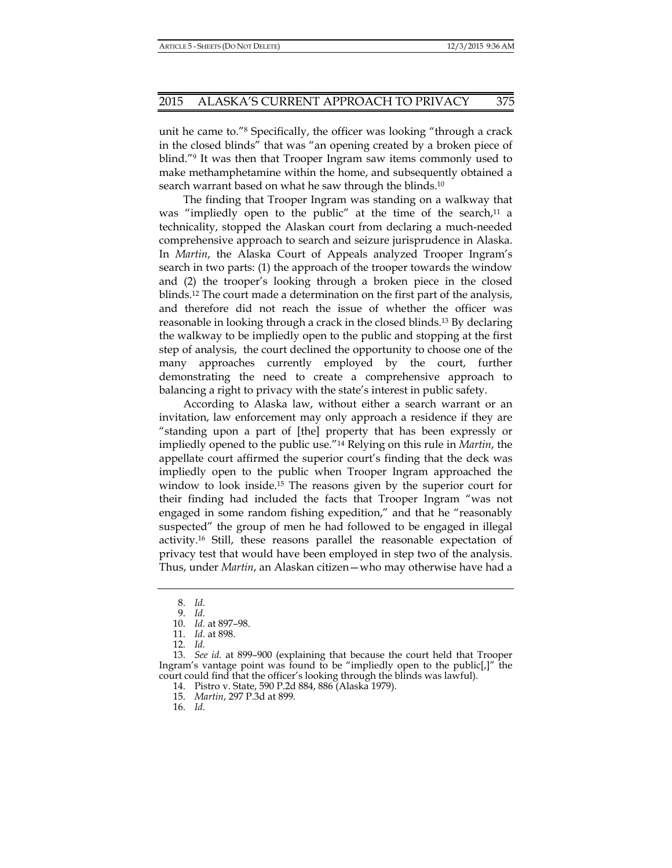unit he came to."8 Specifically, the officer was looking "through a crack in the closed blinds" that was "an opening created by a broken piece of blind."9 It was then that Trooper Ingram saw items commonly used to make methamphetamine within the home, and subsequently obtained a search warrant based on what he saw through the blinds.10

The finding that Trooper Ingram was standing on a walkway that was "impliedly open to the public" at the time of the search, $11$  a technicality, stopped the Alaskan court from declaring a much-needed comprehensive approach to search and seizure jurisprudence in Alaska. In *Martin*, the Alaska Court of Appeals analyzed Trooper Ingram's search in two parts: (1) the approach of the trooper towards the window and (2) the trooper's looking through a broken piece in the closed blinds.12 The court made a determination on the first part of the analysis, and therefore did not reach the issue of whether the officer was reasonable in looking through a crack in the closed blinds.13 By declaring the walkway to be impliedly open to the public and stopping at the first step of analysis, the court declined the opportunity to choose one of the many approaches currently employed by the court, further demonstrating the need to create a comprehensive approach to balancing a right to privacy with the state's interest in public safety.

According to Alaska law, without either a search warrant or an invitation, law enforcement may only approach a residence if they are "standing upon a part of [the] property that has been expressly or impliedly opened to the public use."14 Relying on this rule in *Martin*, the appellate court affirmed the superior court's finding that the deck was impliedly open to the public when Trooper Ingram approached the window to look inside.15 The reasons given by the superior court for their finding had included the facts that Trooper Ingram "was not engaged in some random fishing expedition," and that he "reasonably suspected" the group of men he had followed to be engaged in illegal activity.16 Still, these reasons parallel the reasonable expectation of privacy test that would have been employed in step two of the analysis. Thus, under *Martin*, an Alaskan citizen—who may otherwise have had a

 <sup>8.</sup> *Id.*

 <sup>9.</sup> *Id.*

 <sup>10.</sup> *Id.* at 897–98.

 <sup>11.</sup> *Id.* at 898.

 <sup>12.</sup> *Id.* 

 <sup>13.</sup> *See id.* at 899–900 (explaining that because the court held that Trooper Ingram's vantage point was found to be "impliedly open to the public[,]" the court could find that the officer's looking through the blinds was lawful).

 <sup>14.</sup> Pistro v. State, 590 P.2d 884, 886 (Alaska 1979).

 <sup>15.</sup> *Martin*, 297 P.3d at 899.

 <sup>16.</sup> *Id.*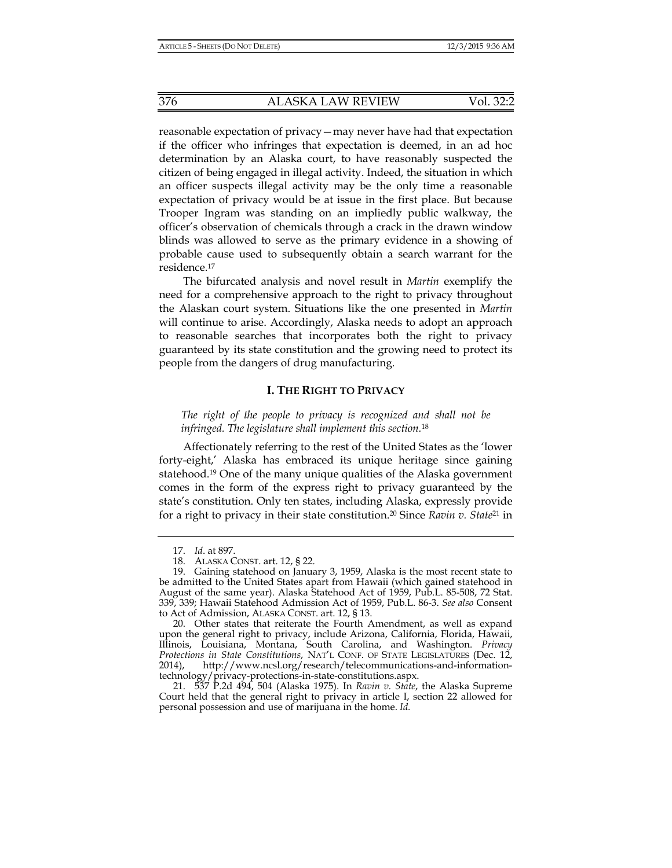reasonable expectation of privacy—may never have had that expectation if the officer who infringes that expectation is deemed, in an ad hoc determination by an Alaska court, to have reasonably suspected the citizen of being engaged in illegal activity. Indeed, the situation in which an officer suspects illegal activity may be the only time a reasonable expectation of privacy would be at issue in the first place. But because Trooper Ingram was standing on an impliedly public walkway, the officer's observation of chemicals through a crack in the drawn window blinds was allowed to serve as the primary evidence in a showing of probable cause used to subsequently obtain a search warrant for the residence.17

The bifurcated analysis and novel result in *Martin* exemplify the need for a comprehensive approach to the right to privacy throughout the Alaskan court system. Situations like the one presented in *Martin* will continue to arise. Accordingly, Alaska needs to adopt an approach to reasonable searches that incorporates both the right to privacy guaranteed by its state constitution and the growing need to protect its people from the dangers of drug manufacturing.

# **I. THE RIGHT TO PRIVACY**

*The right of the people to privacy is recognized and shall not be infringed. The legislature shall implement this section.*<sup>18</sup>

Affectionately referring to the rest of the United States as the 'lower forty-eight,' Alaska has embraced its unique heritage since gaining statehood.19 One of the many unique qualities of the Alaska government comes in the form of the express right to privacy guaranteed by the state's constitution. Only ten states, including Alaska, expressly provide for a right to privacy in their state constitution.20 Since *Ravin v. State*21 in

 <sup>17.</sup> *Id*. at 897.

 <sup>18.</sup> ALASKA CONST. art. 12, § 22.

 <sup>19.</sup> Gaining statehood on January 3, 1959, Alaska is the most recent state to be admitted to the United States apart from Hawaii (which gained statehood in August of the same year). Alaska Statehood Act of 1959, Pub.L. 85-508, 72 Stat. 339, 339; Hawaii Statehood Admission Act of 1959, Pub.L. 86-3. *See also* Consent to Act of Admission, ALASKA CONST. art. 12, § 13.

 <sup>20.</sup> Other states that reiterate the Fourth Amendment, as well as expand upon the general right to privacy, include Arizona, California, Florida, Hawaii, Illinois, Louisiana, Montana, South Carolina, and Washington. *Privacy Protections in State Constitutions*, NAT'L CONF. OF STATE LEGISLATURES (Dec. 12, 2014), http://www.ncsl.org/research/telecommunications-and-informationtechnology/privacy-protections-in-state-constitutions.aspx.

 <sup>21. 537</sup> P.2d 494, 504 (Alaska 1975). In *Ravin v. State*, the Alaska Supreme Court held that the general right to privacy in article I, section 22 allowed for personal possession and use of marijuana in the home. *Id.*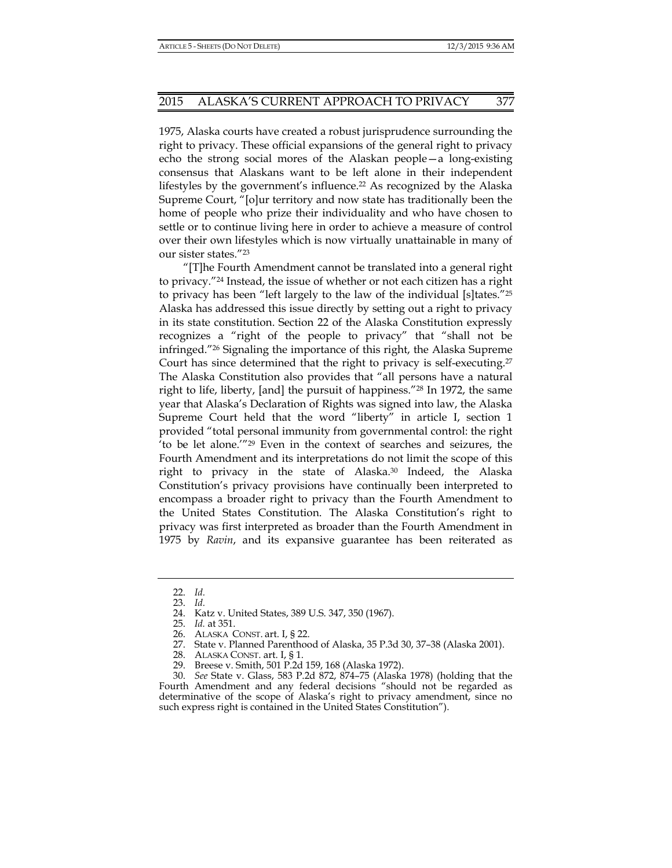1975, Alaska courts have created a robust jurisprudence surrounding the right to privacy. These official expansions of the general right to privacy echo the strong social mores of the Alaskan people—a long-existing consensus that Alaskans want to be left alone in their independent lifestyles by the government's influence.<sup>22</sup> As recognized by the Alaska Supreme Court, "[o]ur territory and now state has traditionally been the home of people who prize their individuality and who have chosen to settle or to continue living here in order to achieve a measure of control over their own lifestyles which is now virtually unattainable in many of our sister states."23

"[T]he Fourth Amendment cannot be translated into a general right to privacy."24 Instead, the issue of whether or not each citizen has a right to privacy has been "left largely to the law of the individual [s]tates."25 Alaska has addressed this issue directly by setting out a right to privacy in its state constitution. Section 22 of the Alaska Constitution expressly recognizes a "right of the people to privacy" that "shall not be infringed."26 Signaling the importance of this right, the Alaska Supreme Court has since determined that the right to privacy is self-executing.27 The Alaska Constitution also provides that "all persons have a natural right to life, liberty, [and] the pursuit of happiness."28 In 1972, the same year that Alaska's Declaration of Rights was signed into law, the Alaska Supreme Court held that the word "liberty" in article I, section 1 provided "total personal immunity from governmental control: the right 'to be let alone.'"29 Even in the context of searches and seizures, the Fourth Amendment and its interpretations do not limit the scope of this right to privacy in the state of Alaska.30 Indeed, the Alaska Constitution's privacy provisions have continually been interpreted to encompass a broader right to privacy than the Fourth Amendment to the United States Constitution. The Alaska Constitution's right to privacy was first interpreted as broader than the Fourth Amendment in 1975 by *Ravin*, and its expansive guarantee has been reiterated as

29. Breese v. Smith, 501 P.2d 159, 168 (Alaska 1972).

 <sup>22.</sup> *Id.*

 <sup>23.</sup> *Id.*

 <sup>24.</sup> Katz v. United States, 389 U.S. 347, 350 (1967).

 <sup>25.</sup> *Id.* at 351.

 <sup>26.</sup> ALASKA CONST. art. I, § 22.

 <sup>27.</sup> State v. Planned Parenthood of Alaska, 35 P.3d 30, 37–38 (Alaska 2001).

 <sup>28.</sup> ALASKA CONST. art. I, § 1.

 <sup>30.</sup> *See* State v. Glass, 583 P.2d 872, 874–75 (Alaska 1978) (holding that the Fourth Amendment and any federal decisions "should not be regarded as determinative of the scope of Alaska's right to privacy amendment, since no such express right is contained in the United States Constitution").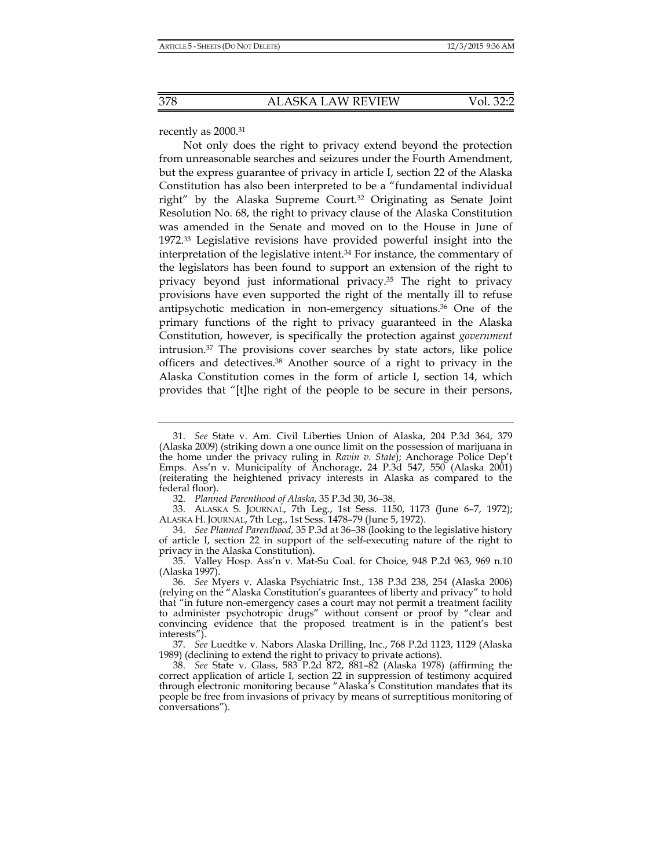recently as 2000.31

Not only does the right to privacy extend beyond the protection from unreasonable searches and seizures under the Fourth Amendment, but the express guarantee of privacy in article I, section 22 of the Alaska Constitution has also been interpreted to be a "fundamental individual right" by the Alaska Supreme Court.32 Originating as Senate Joint Resolution No. 68, the right to privacy clause of the Alaska Constitution was amended in the Senate and moved on to the House in June of 1972.33 Legislative revisions have provided powerful insight into the interpretation of the legislative intent.<sup>34</sup> For instance, the commentary of the legislators has been found to support an extension of the right to privacy beyond just informational privacy.35 The right to privacy provisions have even supported the right of the mentally ill to refuse antipsychotic medication in non-emergency situations.36 One of the primary functions of the right to privacy guaranteed in the Alaska Constitution, however, is specifically the protection against *government* intrusion.37 The provisions cover searches by state actors, like police officers and detectives.38 Another source of a right to privacy in the Alaska Constitution comes in the form of article I, section 14, which provides that "[t]he right of the people to be secure in their persons,

 <sup>31.</sup> *See* State v. Am. Civil Liberties Union of Alaska, 204 P.3d 364, 379 (Alaska 2009) (striking down a one ounce limit on the possession of marijuana in the home under the privacy ruling in *Ravin v. State*); Anchorage Police Dep't Emps. Ass'n v. Municipality of Anchorage, 24 P.3d 547, 550 (Alaska 2001) (reiterating the heightened privacy interests in Alaska as compared to the federal floor).

 <sup>32.</sup> *Planned Parenthood of Alaska*, 35 P.3d 30, 36–38.

 <sup>33.</sup> ALASKA S. JOURNAL, 7th Leg., 1st Sess. 1150, 1173 (June 6–7, 1972); ALASKA H. JOURNAL, 7th Leg., 1st Sess. 1478–79 (June 5, 1972).

 <sup>34.</sup> *See Planned Parenthood*, 35 P.3d at 36–38 (looking to the legislative history of article I, section 22 in support of the self-executing nature of the right to privacy in the Alaska Constitution).

 <sup>35.</sup> Valley Hosp. Ass'n v. Mat-Su Coal. for Choice, 948 P.2d 963, 969 n.10 (Alaska 1997).

 <sup>36.</sup> *See* Myers v. Alaska Psychiatric Inst., 138 P.3d 238, 254 (Alaska 2006) (relying on the "Alaska Constitution's guarantees of liberty and privacy" to hold that "in future non-emergency cases a court may not permit a treatment facility to administer psychotropic drugs" without consent or proof by "clear and convincing evidence that the proposed treatment is in the patient's best interests").

 <sup>37.</sup> *See* Luedtke v. Nabors Alaska Drilling, Inc., 768 P.2d 1123, 1129 (Alaska 1989) (declining to extend the right to privacy to private actions).

 <sup>38.</sup> *See* State v. Glass, 583 P.2d 872, 881–82 (Alaska 1978) (affirming the correct application of article I, section 22 in suppression of testimony acquired through electronic monitoring because "Alaska's Constitution mandates that its people be free from invasions of privacy by means of surreptitious monitoring of conversations").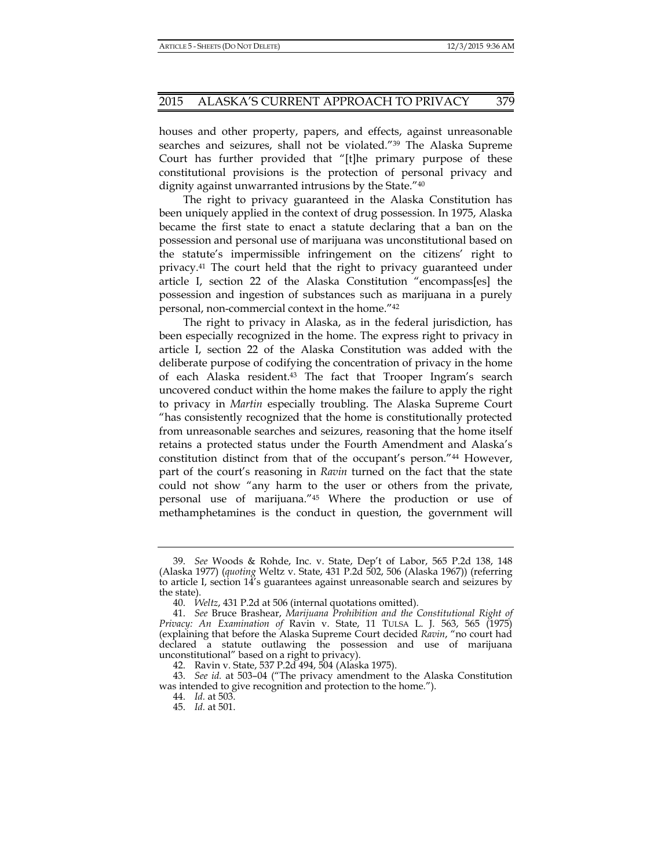houses and other property, papers, and effects, against unreasonable searches and seizures, shall not be violated."39 The Alaska Supreme Court has further provided that "[t]he primary purpose of these constitutional provisions is the protection of personal privacy and dignity against unwarranted intrusions by the State."40

The right to privacy guaranteed in the Alaska Constitution has been uniquely applied in the context of drug possession. In 1975, Alaska became the first state to enact a statute declaring that a ban on the possession and personal use of marijuana was unconstitutional based on the statute's impermissible infringement on the citizens' right to privacy.41 The court held that the right to privacy guaranteed under article I, section 22 of the Alaska Constitution "encompass[es] the possession and ingestion of substances such as marijuana in a purely personal, non-commercial context in the home."42

The right to privacy in Alaska, as in the federal jurisdiction, has been especially recognized in the home. The express right to privacy in article I, section 22 of the Alaska Constitution was added with the deliberate purpose of codifying the concentration of privacy in the home of each Alaska resident.43 The fact that Trooper Ingram's search uncovered conduct within the home makes the failure to apply the right to privacy in *Martin* especially troubling. The Alaska Supreme Court "has consistently recognized that the home is constitutionally protected from unreasonable searches and seizures, reasoning that the home itself retains a protected status under the Fourth Amendment and Alaska's constitution distinct from that of the occupant's person."44 However, part of the court's reasoning in *Ravin* turned on the fact that the state could not show "any harm to the user or others from the private, personal use of marijuana."45 Where the production or use of methamphetamines is the conduct in question, the government will

 <sup>39.</sup> *See* Woods & Rohde, Inc. v. State, Dep't of Labor, 565 P.2d 138, 148 (Alaska 1977) (*quoting* Weltz v. State, 431 P.2d 502, 506 (Alaska 1967)) (referring to article I, section 14's guarantees against unreasonable search and seizures by the state).

 <sup>40.</sup> *Weltz*, 431 P.2d at 506 (internal quotations omitted).

 <sup>41.</sup> *See* Bruce Brashear, *Marijuana Prohibition and the Constitutional Right of Privacy: An Examination of* Ravin v. State, 11 TULSA L. J. 563, 565 (1975) (explaining that before the Alaska Supreme Court decided *Ravin*, "no court had declared a statute outlawing the possession and use of marijuana unconstitutional" based on a right to privacy).

 <sup>42.</sup> Ravin v. State, 537 P.2d 494, 504 (Alaska 1975).

 <sup>43.</sup> *See id.* at 503–04 ("The privacy amendment to the Alaska Constitution was intended to give recognition and protection to the home.").

 <sup>44.</sup> *Id.* at 503.

 <sup>45.</sup> *Id.* at 501.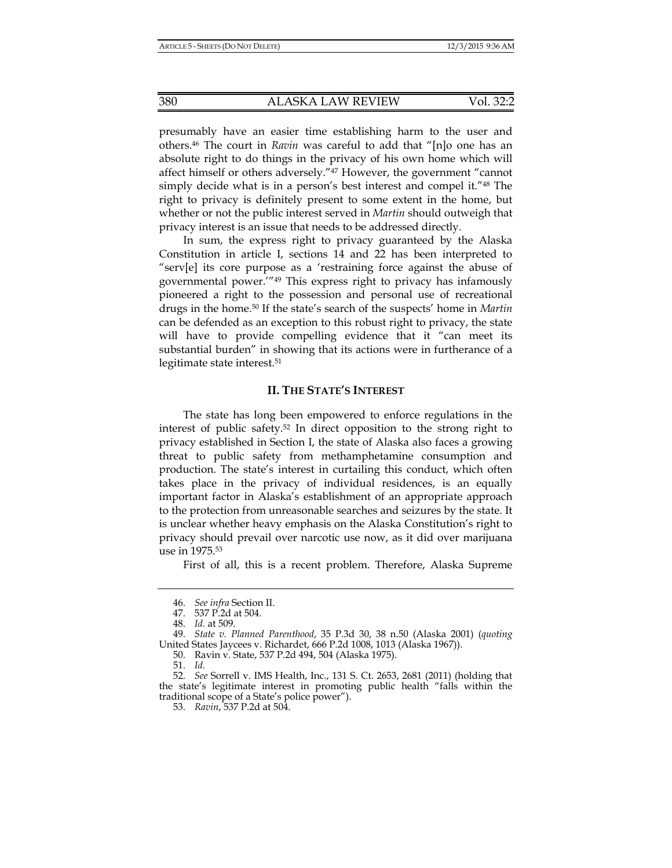presumably have an easier time establishing harm to the user and others.46 The court in *Ravin* was careful to add that "[n]o one has an absolute right to do things in the privacy of his own home which will affect himself or others adversely."47 However, the government "cannot simply decide what is in a person's best interest and compel it."48 The right to privacy is definitely present to some extent in the home, but whether or not the public interest served in *Martin* should outweigh that privacy interest is an issue that needs to be addressed directly.

In sum, the express right to privacy guaranteed by the Alaska Constitution in article I, sections 14 and 22 has been interpreted to "serv[e] its core purpose as a 'restraining force against the abuse of governmental power.'"49 This express right to privacy has infamously pioneered a right to the possession and personal use of recreational drugs in the home.50 If the state's search of the suspects' home in *Martin* can be defended as an exception to this robust right to privacy, the state will have to provide compelling evidence that it "can meet its substantial burden" in showing that its actions were in furtherance of a legitimate state interest.51

# **II. THE STATE'S INTEREST**

The state has long been empowered to enforce regulations in the interest of public safety.52 In direct opposition to the strong right to privacy established in Section I, the state of Alaska also faces a growing threat to public safety from methamphetamine consumption and production. The state's interest in curtailing this conduct, which often takes place in the privacy of individual residences, is an equally important factor in Alaska's establishment of an appropriate approach to the protection from unreasonable searches and seizures by the state. It is unclear whether heavy emphasis on the Alaska Constitution's right to privacy should prevail over narcotic use now, as it did over marijuana use in 1975.53

First of all, this is a recent problem. Therefore, Alaska Supreme

50. Ravin v. State, 537 P.2d 494, 504 (Alaska 1975).

 <sup>46.</sup> *See infra* Section II.

 <sup>47. 537</sup> P.2d at 504.

 <sup>48.</sup> *Id.* at 509.

 <sup>49.</sup> *State v. Planned Parenthood*, 35 P.3d 30, 38 n.50 (Alaska 2001) (*quoting*  United States Jaycees v. Richardet, 666 P.2d 1008, 1013 (Alaska 1967)).

 <sup>51.</sup> *Id.*

 <sup>52.</sup> *See* Sorrell v. IMS Health, Inc., 131 S. Ct. 2653, 2681 (2011) (holding that the state's legitimate interest in promoting public health "falls within the traditional scope of a State's police power").

 <sup>53.</sup> *Ravin*, 537 P.2d at 504.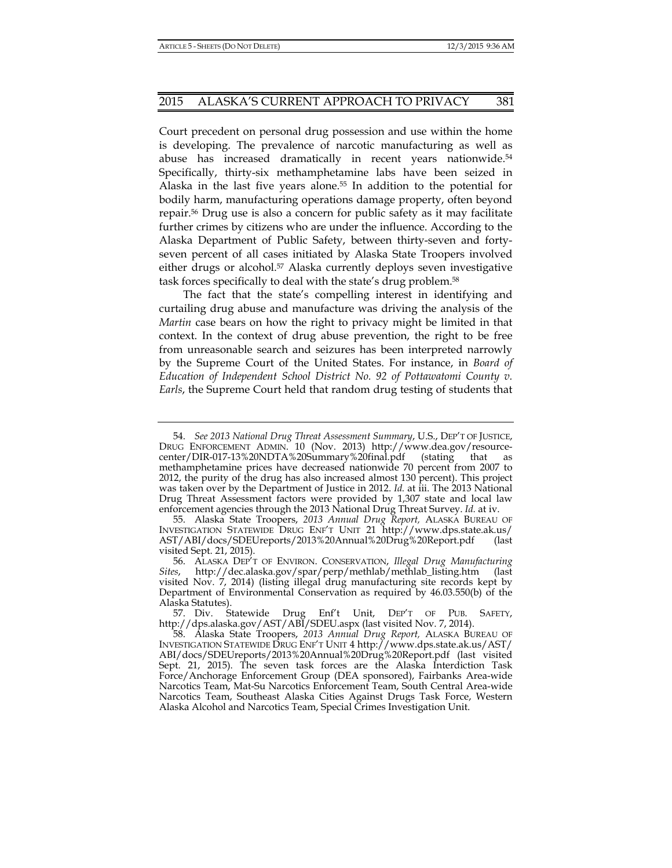Court precedent on personal drug possession and use within the home is developing. The prevalence of narcotic manufacturing as well as abuse has increased dramatically in recent years nationwide.<sup>54</sup> Specifically, thirty-six methamphetamine labs have been seized in Alaska in the last five years alone.<sup>55</sup> In addition to the potential for bodily harm, manufacturing operations damage property, often beyond repair.56 Drug use is also a concern for public safety as it may facilitate further crimes by citizens who are under the influence. According to the Alaska Department of Public Safety, between thirty-seven and fortyseven percent of all cases initiated by Alaska State Troopers involved either drugs or alcohol.<sup>57</sup> Alaska currently deploys seven investigative task forces specifically to deal with the state's drug problem.58

The fact that the state's compelling interest in identifying and curtailing drug abuse and manufacture was driving the analysis of the *Martin* case bears on how the right to privacy might be limited in that context. In the context of drug abuse prevention, the right to be free from unreasonable search and seizures has been interpreted narrowly by the Supreme Court of the United States. For instance, in *Board of Education of Independent School District No. 92 of Pottawatomi County v. Earls*, the Supreme Court held that random drug testing of students that

 57. Div. Statewide Drug Enf't Unit, DEP'T OF PUB. SAFETY, http://dps.alaska.gov/AST/ABI/SDEU.aspx (last visited Nov. 7, 2014).

 <sup>54.</sup> *See 2013 National Drug Threat Assessment Summary*, U.S., DEP'T OF JUSTICE, DRUG ENFORCEMENT ADMIN. 10 (Nov. 2013) http://www.dea.gov/resourcecenter/DIR-017-13%20NDTA%20Summary%20final.pdf (stating that as methamphetamine prices have decreased nationwide 70 percent from 2007 to 2012, the purity of the drug has also increased almost 130 percent). This project was taken over by the Department of Justice in 2012. *Id.* at iii. The 2013 National Drug Threat Assessment factors were provided by 1,307 state and local law enforcement agencies through the 2013 National Drug Threat Survey. *Id.* at iv.

 <sup>55.</sup> Alaska State Troopers, *2013 Annual Drug Report,* ALASKA BUREAU OF INVESTIGATION STATEWIDE DRUG ENF'T UNIT 21 http://www.dps.state.ak.us/ AST/ABI/docs/SDEUreports/2013%20Annual%20Drug%20Report.pdf (last visited Sept. 21, 2015).

 <sup>56.</sup> ALASKA DEP'T OF ENVIRON. CONSERVATION, *Illegal Drug Manufacturing Sites*, http://dec.alaska.gov/spar/perp/methlab/methlab\_listing.htm (last visited Nov. 7, 2014) (listing illegal drug manufacturing site records kept by Department of Environmental Conservation as required by 46.03.550(b) of the Alaska Statutes).

 <sup>58.</sup> Alaska State Troopers, *2013 Annual Drug Report,* ALASKA BUREAU OF INVESTIGATION STATEWIDE DRUG ENF'T UNIT 4 http://www.dps.state.ak.us/AST/ ABI/docs/SDEUreports/2013%20Annual%20Drug%20Report.pdf (last visited Sept. 21, 2015). The seven task forces are the Alaska Interdiction Task Force/Anchorage Enforcement Group (DEA sponsored), Fairbanks Area-wide Narcotics Team, Mat-Su Narcotics Enforcement Team, South Central Area-wide Narcotics Team, Southeast Alaska Cities Against Drugs Task Force, Western Alaska Alcohol and Narcotics Team, Special Crimes Investigation Unit.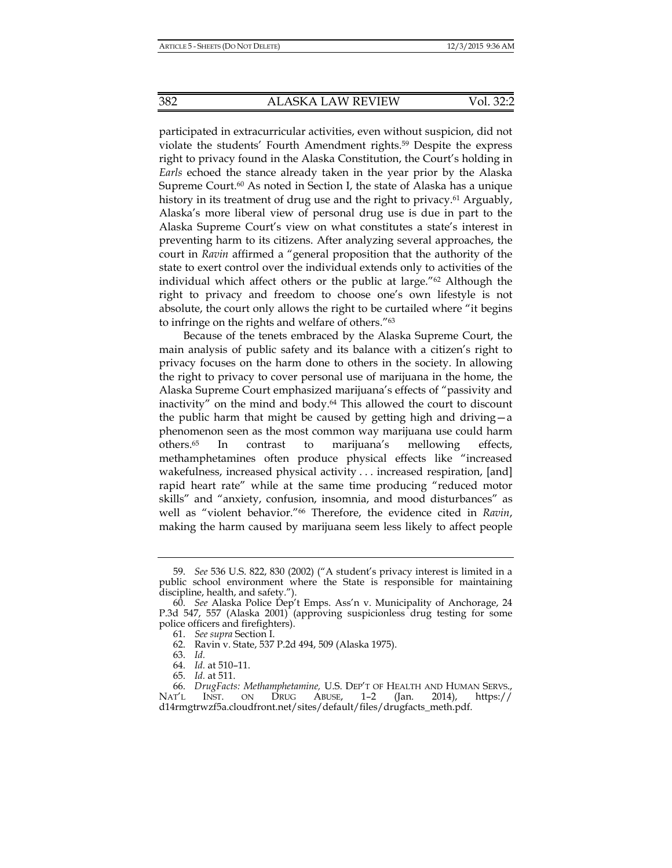participated in extracurricular activities, even without suspicion, did not violate the students' Fourth Amendment rights.59 Despite the express right to privacy found in the Alaska Constitution, the Court's holding in *Earls* echoed the stance already taken in the year prior by the Alaska Supreme Court.<sup>60</sup> As noted in Section I, the state of Alaska has a unique history in its treatment of drug use and the right to privacy.<sup>61</sup> Arguably, Alaska's more liberal view of personal drug use is due in part to the Alaska Supreme Court's view on what constitutes a state's interest in preventing harm to its citizens. After analyzing several approaches, the court in *Ravin* affirmed a "general proposition that the authority of the state to exert control over the individual extends only to activities of the individual which affect others or the public at large." $62$  Although the right to privacy and freedom to choose one's own lifestyle is not absolute, the court only allows the right to be curtailed where "it begins to infringe on the rights and welfare of others."63

Because of the tenets embraced by the Alaska Supreme Court, the main analysis of public safety and its balance with a citizen's right to privacy focuses on the harm done to others in the society. In allowing the right to privacy to cover personal use of marijuana in the home, the Alaska Supreme Court emphasized marijuana's effects of "passivity and inactivity" on the mind and body.64 This allowed the court to discount the public harm that might be caused by getting high and driving—a phenomenon seen as the most common way marijuana use could harm others.65 In contrast to marijuana's mellowing effects, methamphetamines often produce physical effects like "increased wakefulness, increased physical activity . . . increased respiration, [and] rapid heart rate" while at the same time producing "reduced motor skills" and "anxiety, confusion, insomnia, and mood disturbances" as well as "violent behavior."66 Therefore, the evidence cited in *Ravin*, making the harm caused by marijuana seem less likely to affect people

 <sup>59.</sup> *See* 536 U.S. 822, 830 (2002) ("A student's privacy interest is limited in a public school environment where the State is responsible for maintaining discipline, health, and safety.").

 <sup>60.</sup> *See* Alaska Police Dep't Emps. Ass'n v. Municipality of Anchorage, 24 P.3d 547, 557 (Alaska 2001) (approving suspicionless drug testing for some police officers and firefighters).

 <sup>61.</sup> *See supra* Section I.

 <sup>62.</sup> Ravin v. State, 537 P.2d 494, 509 (Alaska 1975).

 <sup>63.</sup> *Id.*

 <sup>64.</sup> *Id.* at 510–11.

 <sup>65.</sup> *Id.* at 511.

 <sup>66.</sup> *DrugFacts: Methamphetamine,* U.S. DEP'T OF HEALTH AND HUMAN SERVS., NAT'L INST. ON DRUG ABUSE, 1–2 (Jan. 2014), https:// d14rmgtrwzf5a.cloudfront.net/sites/default/files/drugfacts\_meth.pdf.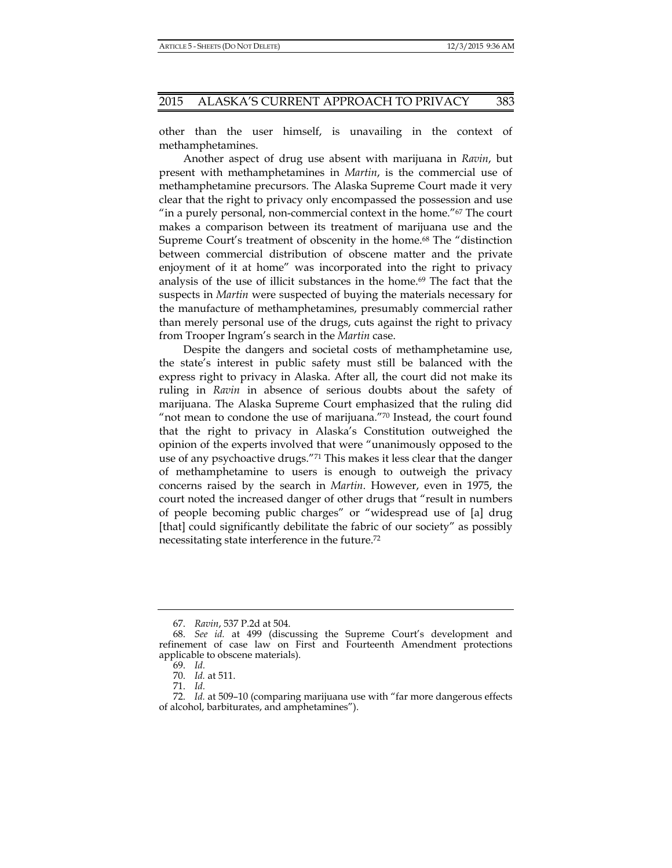other than the user himself, is unavailing in the context of methamphetamines.

Another aspect of drug use absent with marijuana in *Ravin*, but present with methamphetamines in *Martin*, is the commercial use of methamphetamine precursors. The Alaska Supreme Court made it very clear that the right to privacy only encompassed the possession and use "in a purely personal, non-commercial context in the home."67 The court makes a comparison between its treatment of marijuana use and the Supreme Court's treatment of obscenity in the home.<sup>68</sup> The "distinction between commercial distribution of obscene matter and the private enjoyment of it at home" was incorporated into the right to privacy analysis of the use of illicit substances in the home.69 The fact that the suspects in *Martin* were suspected of buying the materials necessary for the manufacture of methamphetamines, presumably commercial rather than merely personal use of the drugs, cuts against the right to privacy from Trooper Ingram's search in the *Martin* case.

Despite the dangers and societal costs of methamphetamine use, the state's interest in public safety must still be balanced with the express right to privacy in Alaska. After all, the court did not make its ruling in *Ravin* in absence of serious doubts about the safety of marijuana. The Alaska Supreme Court emphasized that the ruling did "not mean to condone the use of marijuana."70 Instead, the court found that the right to privacy in Alaska's Constitution outweighed the opinion of the experts involved that were "unanimously opposed to the use of any psychoactive drugs."71 This makes it less clear that the danger of methamphetamine to users is enough to outweigh the privacy concerns raised by the search in *Martin*. However, even in 1975, the court noted the increased danger of other drugs that "result in numbers of people becoming public charges" or "widespread use of [a] drug [that] could significantly debilitate the fabric of our society" as possibly necessitating state interference in the future.72

 <sup>67.</sup> *Ravin*, 537 P.2d at 504.

 <sup>68.</sup> *See id.* at 499 (discussing the Supreme Court's development and refinement of case law on First and Fourteenth Amendment protections applicable to obscene materials).

 <sup>69.</sup> *Id.*

 <sup>70.</sup> *Id.* at 511.

 <sup>71.</sup> *Id.*

 <sup>72.</sup> *Id.* at 509–10 (comparing marijuana use with "far more dangerous effects of alcohol, barbiturates, and amphetamines").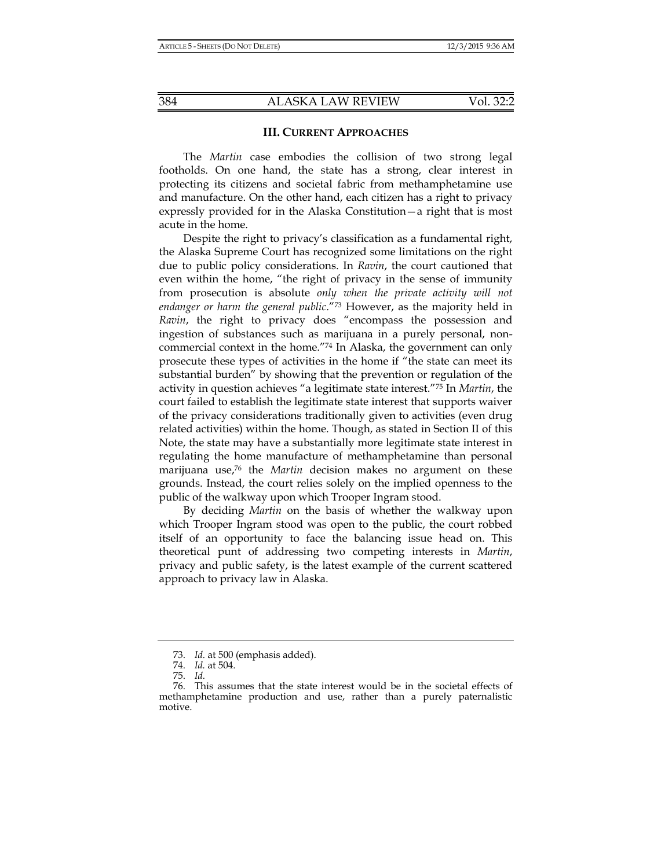# **III. CURRENT APPROACHES**

The *Martin* case embodies the collision of two strong legal footholds. On one hand, the state has a strong, clear interest in protecting its citizens and societal fabric from methamphetamine use and manufacture. On the other hand, each citizen has a right to privacy expressly provided for in the Alaska Constitution—a right that is most acute in the home.

Despite the right to privacy's classification as a fundamental right, the Alaska Supreme Court has recognized some limitations on the right due to public policy considerations. In *Ravin*, the court cautioned that even within the home, "the right of privacy in the sense of immunity from prosecution is absolute *only when the private activity will not endanger or harm the general public*."73 However, as the majority held in *Ravin*, the right to privacy does "encompass the possession and ingestion of substances such as marijuana in a purely personal, noncommercial context in the home."74 In Alaska, the government can only prosecute these types of activities in the home if "the state can meet its substantial burden" by showing that the prevention or regulation of the activity in question achieves "a legitimate state interest."75 In *Martin*, the court failed to establish the legitimate state interest that supports waiver of the privacy considerations traditionally given to activities (even drug related activities) within the home. Though, as stated in Section II of this Note, the state may have a substantially more legitimate state interest in regulating the home manufacture of methamphetamine than personal marijuana use,76 the *Martin* decision makes no argument on these grounds. Instead, the court relies solely on the implied openness to the public of the walkway upon which Trooper Ingram stood.

By deciding *Martin* on the basis of whether the walkway upon which Trooper Ingram stood was open to the public, the court robbed itself of an opportunity to face the balancing issue head on. This theoretical punt of addressing two competing interests in *Martin*, privacy and public safety, is the latest example of the current scattered approach to privacy law in Alaska.

 <sup>73.</sup> *Id.* at 500 (emphasis added).

 <sup>74.</sup> *Id.* at 504.

 <sup>75.</sup> *Id.*

 <sup>76.</sup> This assumes that the state interest would be in the societal effects of methamphetamine production and use, rather than a purely paternalistic motive.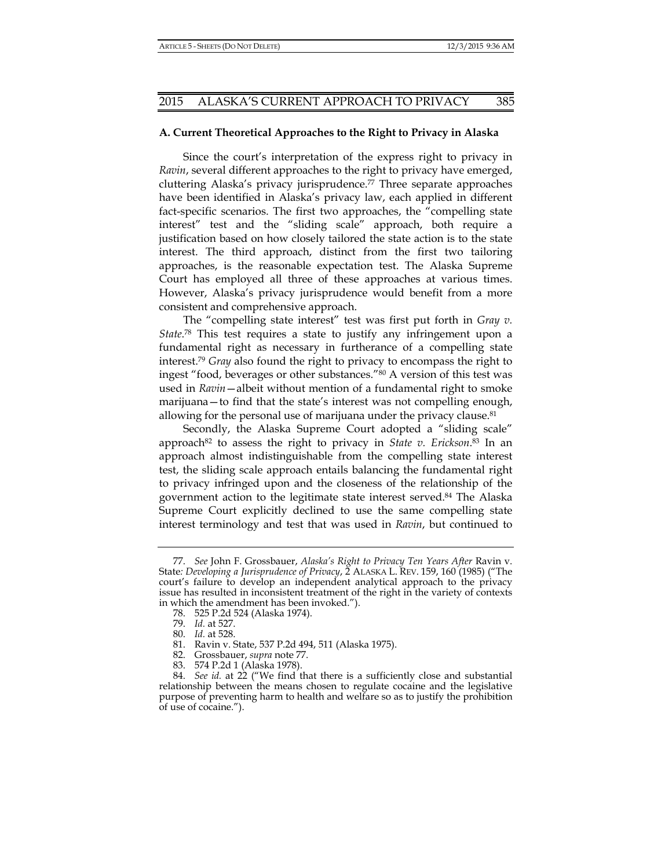# **A. Current Theoretical Approaches to the Right to Privacy in Alaska**

Since the court's interpretation of the express right to privacy in *Ravin*, several different approaches to the right to privacy have emerged, cluttering Alaska's privacy jurisprudence.77 Three separate approaches have been identified in Alaska's privacy law, each applied in different fact-specific scenarios. The first two approaches, the "compelling state interest" test and the "sliding scale" approach, both require a justification based on how closely tailored the state action is to the state interest. The third approach, distinct from the first two tailoring approaches, is the reasonable expectation test. The Alaska Supreme Court has employed all three of these approaches at various times. However, Alaska's privacy jurisprudence would benefit from a more consistent and comprehensive approach.

The "compelling state interest" test was first put forth in *Gray v. State*. 78 This test requires a state to justify any infringement upon a fundamental right as necessary in furtherance of a compelling state interest.79 *Gray* also found the right to privacy to encompass the right to ingest "food, beverages or other substances."80 A version of this test was used in *Ravin*—albeit without mention of a fundamental right to smoke marijuana—to find that the state's interest was not compelling enough, allowing for the personal use of marijuana under the privacy clause.<sup>81</sup>

Secondly, the Alaska Supreme Court adopted a "sliding scale" approach<sup>82</sup> to assess the right to privacy in *State v. Erickson*.<sup>83</sup> In an approach almost indistinguishable from the compelling state interest test, the sliding scale approach entails balancing the fundamental right to privacy infringed upon and the closeness of the relationship of the government action to the legitimate state interest served.84 The Alaska Supreme Court explicitly declined to use the same compelling state interest terminology and test that was used in *Ravin*, but continued to

 <sup>77.</sup> *See* John F. Grossbauer, *Alaska's Right to Privacy Ten Years After* Ravin v. State*: Developing a Jurisprudence of Privacy*, 2 ALASKA L. REV. 159, 160 (1985) ("The court's failure to develop an independent analytical approach to the privacy issue has resulted in inconsistent treatment of the right in the variety of contexts in which the amendment has been invoked.").

 <sup>78. 525</sup> P.2d 524 (Alaska 1974).

 <sup>79.</sup> *Id.* at 527.

 <sup>80.</sup> *Id.* at 528.

 <sup>81.</sup> Ravin v. State, 537 P.2d 494, 511 (Alaska 1975).

 <sup>82.</sup> Grossbauer, *supra* note 77.

 <sup>83. 574</sup> P.2d 1 (Alaska 1978).

 <sup>84.</sup> *See id.* at 22 ("We find that there is a sufficiently close and substantial relationship between the means chosen to regulate cocaine and the legislative purpose of preventing harm to health and welfare so as to justify the prohibition of use of cocaine.").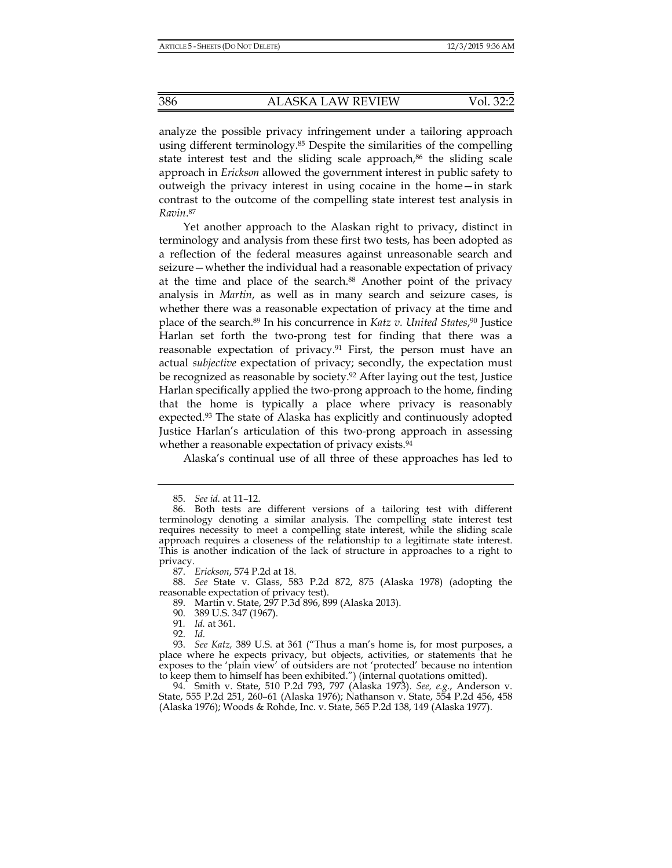analyze the possible privacy infringement under a tailoring approach using different terminology.<sup>85</sup> Despite the similarities of the compelling state interest test and the sliding scale approach, $86$  the sliding scale approach in *Erickson* allowed the government interest in public safety to outweigh the privacy interest in using cocaine in the home—in stark contrast to the outcome of the compelling state interest test analysis in *Ravin*. 87

Yet another approach to the Alaskan right to privacy, distinct in terminology and analysis from these first two tests, has been adopted as a reflection of the federal measures against unreasonable search and seizure—whether the individual had a reasonable expectation of privacy at the time and place of the search.88 Another point of the privacy analysis in *Martin*, as well as in many search and seizure cases, is whether there was a reasonable expectation of privacy at the time and place of the search.89 In his concurrence in *Katz v. United States*, 90 Justice Harlan set forth the two-prong test for finding that there was a reasonable expectation of privacy.<sup>91</sup> First, the person must have an actual *subjective* expectation of privacy; secondly, the expectation must be recognized as reasonable by society.92 After laying out the test, Justice Harlan specifically applied the two-prong approach to the home, finding that the home is typically a place where privacy is reasonably expected.<sup>93</sup> The state of Alaska has explicitly and continuously adopted Justice Harlan's articulation of this two-prong approach in assessing whether a reasonable expectation of privacy exists.<sup>94</sup>

Alaska's continual use of all three of these approaches has led to

87. *Erickson*, 574 P.2d at 18.

 88. *See* State v. Glass, 583 P.2d 872, 875 (Alaska 1978) (adopting the reasonable expectation of privacy test).

89. Martin v. State, 297 P.3d 896, 899 (Alaska 2013).

- 90. 389 U.S. 347 (1967).
	- 91*. Id.* at 361.

92. *Id.*

 93. *See Katz,* 389 U.S. at 361 ("Thus a man's home is, for most purposes, a place where he expects privacy, but objects, activities, or statements that he exposes to the 'plain view' of outsiders are not 'protected' because no intention to keep them to himself has been exhibited.") (internal quotations omitted).

 94. Smith v. State, 510 P.2d 793, 797 (Alaska 1973). *See, e.g.*, Anderson v. State, 555 P.2d 251, 260–61 (Alaska 1976); Nathanson v. State, 554 P.2d 456, 458 (Alaska 1976); Woods & Rohde, Inc. v. State, 565 P.2d 138, 149 (Alaska 1977).

 <sup>85.</sup> *See id.* at 11–12.

 <sup>86.</sup> Both tests are different versions of a tailoring test with different terminology denoting a similar analysis. The compelling state interest test requires necessity to meet a compelling state interest, while the sliding scale approach requires a closeness of the relationship to a legitimate state interest. This is another indication of the lack of structure in approaches to a right to privacy.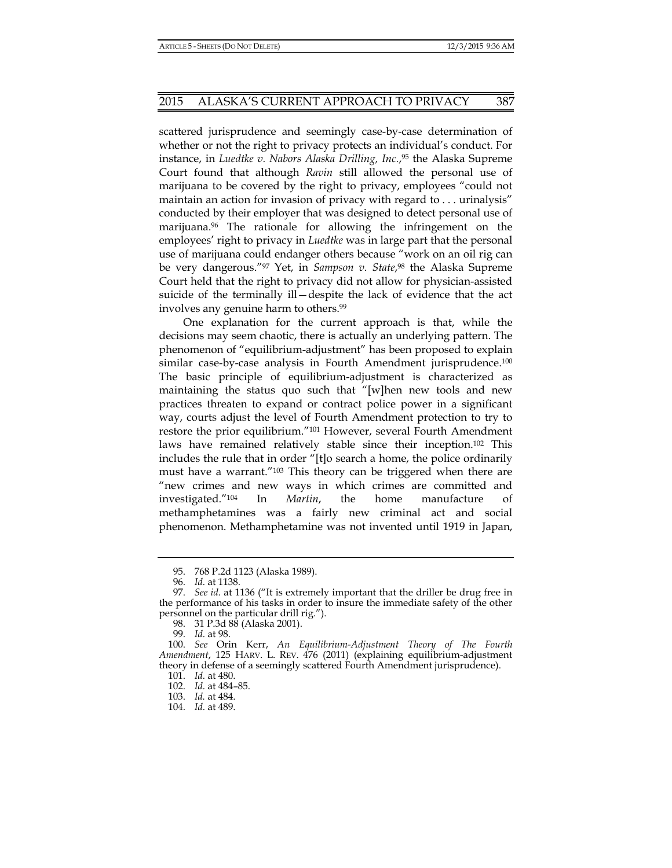scattered jurisprudence and seemingly case-by-case determination of whether or not the right to privacy protects an individual's conduct. For instance, in *Luedtke v. Nabors Alaska Drilling, Inc.*, 95 the Alaska Supreme Court found that although *Ravin* still allowed the personal use of marijuana to be covered by the right to privacy, employees "could not maintain an action for invasion of privacy with regard to . . . urinalysis" conducted by their employer that was designed to detect personal use of marijuana.96 The rationale for allowing the infringement on the employees' right to privacy in *Luedtke* was in large part that the personal use of marijuana could endanger others because "work on an oil rig can be very dangerous."97 Yet, in *Sampson v. State*, 98 the Alaska Supreme Court held that the right to privacy did not allow for physician-assisted suicide of the terminally ill—despite the lack of evidence that the act involves any genuine harm to others.99

One explanation for the current approach is that, while the decisions may seem chaotic, there is actually an underlying pattern. The phenomenon of "equilibrium-adjustment" has been proposed to explain similar case-by-case analysis in Fourth Amendment jurisprudence.<sup>100</sup> The basic principle of equilibrium-adjustment is characterized as maintaining the status quo such that "[w]hen new tools and new practices threaten to expand or contract police power in a significant way, courts adjust the level of Fourth Amendment protection to try to restore the prior equilibrium."101 However, several Fourth Amendment laws have remained relatively stable since their inception.102 This includes the rule that in order "[t]o search a home, the police ordinarily must have a warrant."103 This theory can be triggered when there are "new crimes and new ways in which crimes are committed and investigated."104 In *Martin*, the home manufacture of methamphetamines was a fairly new criminal act and social phenomenon. Methamphetamine was not invented until 1919 in Japan,

99. *Id.* at 98.

101. *Id.* at 480.

102. *Id.* at 484–85.

 <sup>95. 768</sup> P.2d 1123 (Alaska 1989).

 <sup>96.</sup> *Id.* at 1138.

 <sup>97.</sup> *See id.* at 1136 ("It is extremely important that the driller be drug free in the performance of his tasks in order to insure the immediate safety of the other personnel on the particular drill rig.").

 <sup>98. 31</sup> P.3d 88 (Alaska 2001).

 <sup>100.</sup> *See* Orin Kerr, *An Equilibrium-Adjustment Theory of The Fourth Amendment*, 125 HARV. L. REV. 476 (2011) (explaining equilibrium-adjustment theory in defense of a seemingly scattered Fourth Amendment jurisprudence).

 <sup>103.</sup> *Id.* at 484.

 <sup>104.</sup> *Id.* at 489.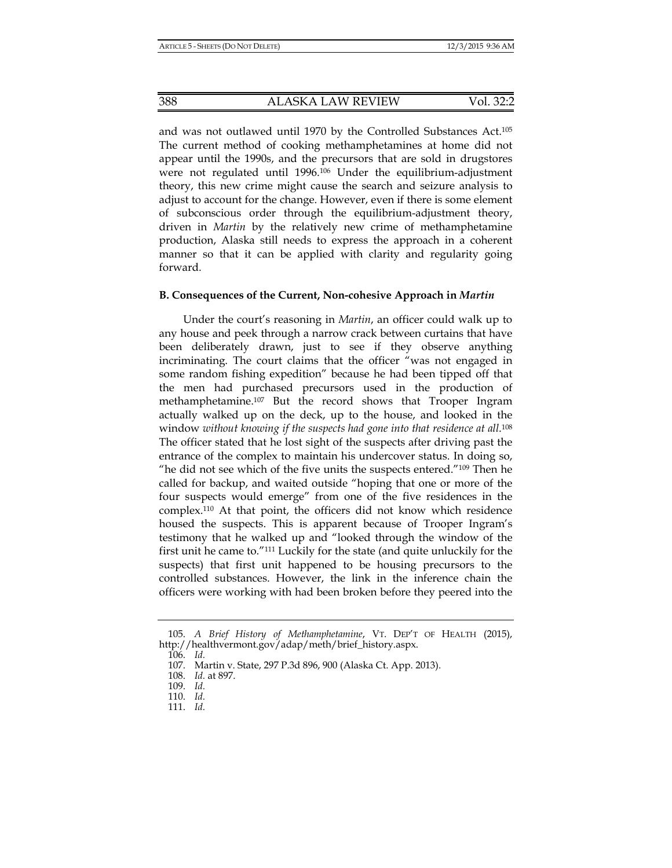and was not outlawed until 1970 by the Controlled Substances Act.105 The current method of cooking methamphetamines at home did not appear until the 1990s, and the precursors that are sold in drugstores were not regulated until 1996.106 Under the equilibrium-adjustment theory, this new crime might cause the search and seizure analysis to adjust to account for the change. However, even if there is some element of subconscious order through the equilibrium-adjustment theory, driven in *Martin* by the relatively new crime of methamphetamine production, Alaska still needs to express the approach in a coherent manner so that it can be applied with clarity and regularity going forward.

#### **B. Consequences of the Current, Non-cohesive Approach in** *Martin*

Under the court's reasoning in *Martin*, an officer could walk up to any house and peek through a narrow crack between curtains that have been deliberately drawn, just to see if they observe anything incriminating. The court claims that the officer "was not engaged in some random fishing expedition" because he had been tipped off that the men had purchased precursors used in the production of methamphetamine.107 But the record shows that Trooper Ingram actually walked up on the deck, up to the house, and looked in the window *without knowing if the suspects had gone into that residence at all*.<sup>108</sup> The officer stated that he lost sight of the suspects after driving past the entrance of the complex to maintain his undercover status. In doing so, "he did not see which of the five units the suspects entered." $109$  Then he called for backup, and waited outside "hoping that one or more of the four suspects would emerge" from one of the five residences in the complex.110 At that point, the officers did not know which residence housed the suspects. This is apparent because of Trooper Ingram's testimony that he walked up and "looked through the window of the first unit he came to."111 Luckily for the state (and quite unluckily for the suspects) that first unit happened to be housing precursors to the controlled substances. However, the link in the inference chain the officers were working with had been broken before they peered into the

106. *Id.*

 <sup>105.</sup> *A Brief History of Methamphetamine*, VT. DEP'T OF HEALTH (2015), http://healthvermont.gov/adap/meth/brief\_history.aspx.

 <sup>107.</sup> Martin v. State, 297 P.3d 896, 900 (Alaska Ct. App. 2013).

 <sup>108.</sup> *Id.* at 897.

 <sup>109.</sup> *Id.*

 <sup>110.</sup> *Id.*

 <sup>111.</sup> *Id.*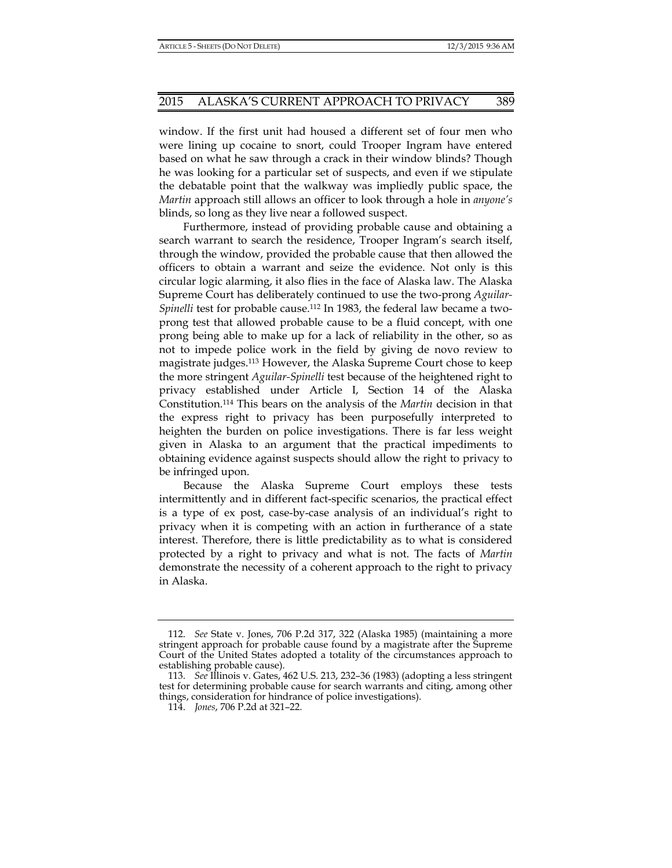window. If the first unit had housed a different set of four men who were lining up cocaine to snort, could Trooper Ingram have entered based on what he saw through a crack in their window blinds? Though he was looking for a particular set of suspects, and even if we stipulate the debatable point that the walkway was impliedly public space, the *Martin* approach still allows an officer to look through a hole in *anyone's* blinds, so long as they live near a followed suspect.

Furthermore, instead of providing probable cause and obtaining a search warrant to search the residence, Trooper Ingram's search itself, through the window, provided the probable cause that then allowed the officers to obtain a warrant and seize the evidence. Not only is this circular logic alarming, it also flies in the face of Alaska law. The Alaska Supreme Court has deliberately continued to use the two-prong *Aguilar-Spinelli* test for probable cause.112 In 1983, the federal law became a twoprong test that allowed probable cause to be a fluid concept, with one prong being able to make up for a lack of reliability in the other, so as not to impede police work in the field by giving de novo review to magistrate judges.113 However, the Alaska Supreme Court chose to keep the more stringent *Aguilar-Spinelli* test because of the heightened right to privacy established under Article I, Section 14 of the Alaska Constitution.114 This bears on the analysis of the *Martin* decision in that the express right to privacy has been purposefully interpreted to heighten the burden on police investigations. There is far less weight given in Alaska to an argument that the practical impediments to obtaining evidence against suspects should allow the right to privacy to be infringed upon.

Because the Alaska Supreme Court employs these tests intermittently and in different fact-specific scenarios, the practical effect is a type of ex post, case-by-case analysis of an individual's right to privacy when it is competing with an action in furtherance of a state interest. Therefore, there is little predictability as to what is considered protected by a right to privacy and what is not. The facts of *Martin* demonstrate the necessity of a coherent approach to the right to privacy in Alaska.

 <sup>112.</sup> *See* State v. Jones, 706 P.2d 317, 322 (Alaska 1985) (maintaining a more stringent approach for probable cause found by a magistrate after the Supreme Court of the United States adopted a totality of the circumstances approach to establishing probable cause).

 <sup>113.</sup> *See* Illinois v. Gates, 462 U.S. 213, 232–36 (1983) (adopting a less stringent test for determining probable cause for search warrants and citing, among other things, consideration for hindrance of police investigations).

 <sup>114.</sup> *Jones*, 706 P.2d at 321–22.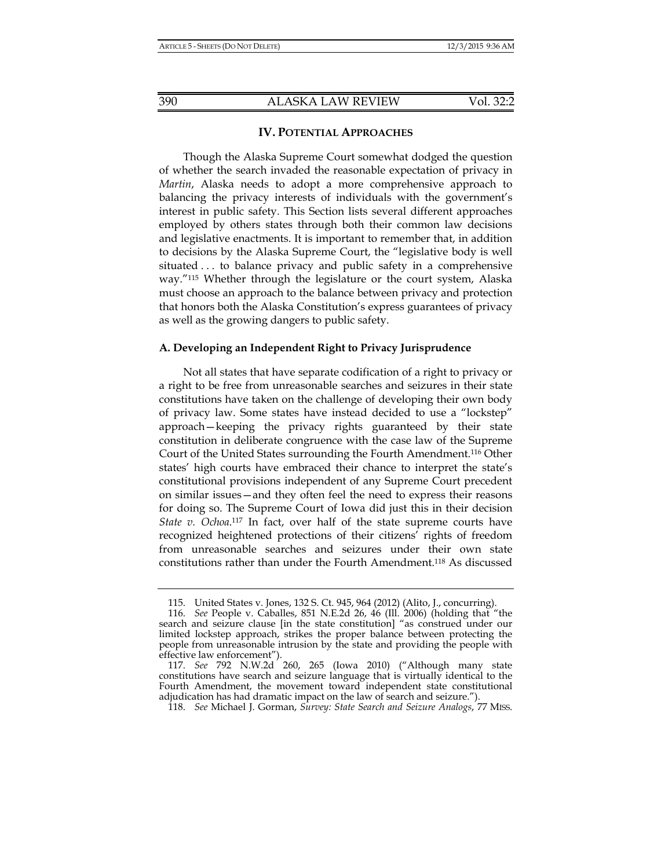## **IV. POTENTIAL APPROACHES**

Though the Alaska Supreme Court somewhat dodged the question of whether the search invaded the reasonable expectation of privacy in *Martin*, Alaska needs to adopt a more comprehensive approach to balancing the privacy interests of individuals with the government's interest in public safety. This Section lists several different approaches employed by others states through both their common law decisions and legislative enactments. It is important to remember that, in addition to decisions by the Alaska Supreme Court, the "legislative body is well situated . . . to balance privacy and public safety in a comprehensive way."115 Whether through the legislature or the court system, Alaska must choose an approach to the balance between privacy and protection that honors both the Alaska Constitution's express guarantees of privacy as well as the growing dangers to public safety.

## **A. Developing an Independent Right to Privacy Jurisprudence**

Not all states that have separate codification of a right to privacy or a right to be free from unreasonable searches and seizures in their state constitutions have taken on the challenge of developing their own body of privacy law. Some states have instead decided to use a "lockstep" approach—keeping the privacy rights guaranteed by their state constitution in deliberate congruence with the case law of the Supreme Court of the United States surrounding the Fourth Amendment.116 Other states' high courts have embraced their chance to interpret the state's constitutional provisions independent of any Supreme Court precedent on similar issues—and they often feel the need to express their reasons for doing so. The Supreme Court of Iowa did just this in their decision *State v. Ochoa*.117 In fact, over half of the state supreme courts have recognized heightened protections of their citizens' rights of freedom from unreasonable searches and seizures under their own state constitutions rather than under the Fourth Amendment.118 As discussed

 <sup>115.</sup> United States v. Jones, 132 S. Ct. 945, 964 (2012) (Alito, J., concurring).

 <sup>116.</sup> *See* People v. Caballes, 851 N.E.2d 26, 46 (Ill. 2006) (holding that "the search and seizure clause [in the state constitution] "as construed under our limited lockstep approach, strikes the proper balance between protecting the people from unreasonable intrusion by the state and providing the people with effective law enforcement").

 <sup>117.</sup> *See* 792 N.W.2d 260, 265 (Iowa 2010) ("Although many state constitutions have search and seizure language that is virtually identical to the Fourth Amendment, the movement toward independent state constitutional adjudication has had dramatic impact on the law of search and seizure.").

 <sup>118.</sup> *See* Michael J. Gorman, *Survey: State Search and Seizure Analogs*, 77 MISS.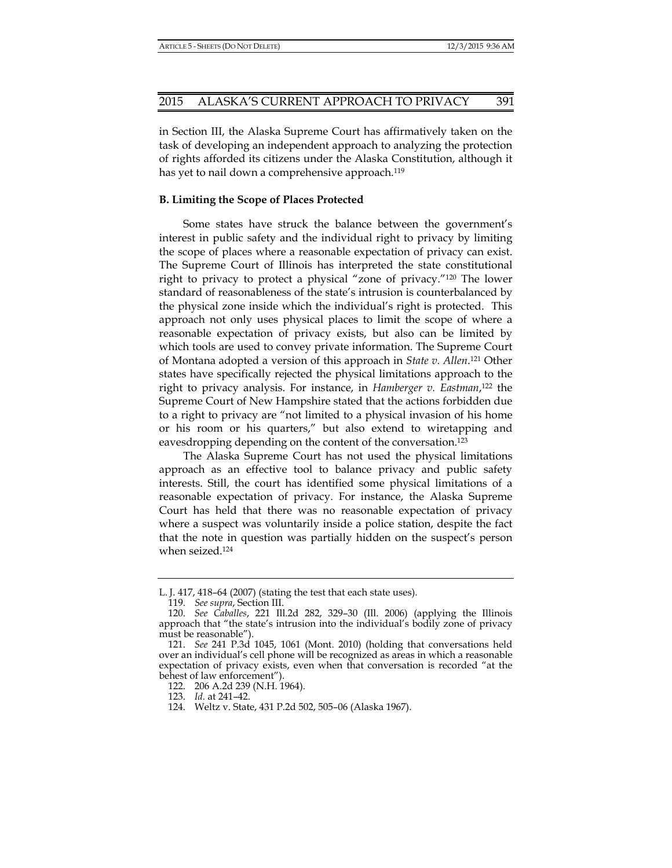in Section III, the Alaska Supreme Court has affirmatively taken on the task of developing an independent approach to analyzing the protection of rights afforded its citizens under the Alaska Constitution, although it has yet to nail down a comprehensive approach.<sup>119</sup>

## **B. Limiting the Scope of Places Protected**

Some states have struck the balance between the government's interest in public safety and the individual right to privacy by limiting the scope of places where a reasonable expectation of privacy can exist. The Supreme Court of Illinois has interpreted the state constitutional right to privacy to protect a physical "zone of privacy."120 The lower standard of reasonableness of the state's intrusion is counterbalanced by the physical zone inside which the individual's right is protected. This approach not only uses physical places to limit the scope of where a reasonable expectation of privacy exists, but also can be limited by which tools are used to convey private information. The Supreme Court of Montana adopted a version of this approach in *State v. Allen*. 121 Other states have specifically rejected the physical limitations approach to the right to privacy analysis. For instance, in *Hamberger v. Eastman*, 122 the Supreme Court of New Hampshire stated that the actions forbidden due to a right to privacy are "not limited to a physical invasion of his home or his room or his quarters," but also extend to wiretapping and eavesdropping depending on the content of the conversation.123

The Alaska Supreme Court has not used the physical limitations approach as an effective tool to balance privacy and public safety interests. Still, the court has identified some physical limitations of a reasonable expectation of privacy. For instance, the Alaska Supreme Court has held that there was no reasonable expectation of privacy where a suspect was voluntarily inside a police station, despite the fact that the note in question was partially hidden on the suspect's person when seized.124

L. J. 417, 418–64 (2007) (stating the test that each state uses).

 <sup>119.</sup> *See supra*, Section III.

 <sup>120.</sup> *See Caballes*, 221 Ill.2d 282, 329–30 (Ill. 2006) (applying the Illinois approach that "the state's intrusion into the individual's bodily zone of privacy must be reasonable").

 <sup>121.</sup> *See* 241 P.3d 1045, 1061 (Mont. 2010) (holding that conversations held over an individual's cell phone will be recognized as areas in which a reasonable expectation of privacy exists, even when that conversation is recorded "at the behest of law enforcement").

 <sup>122. 206</sup> A.2d 239 (N.H. 1964).

 <sup>123.</sup> *Id.* at 241–42.

 <sup>124.</sup> Weltz v. State, 431 P.2d 502, 505–06 (Alaska 1967).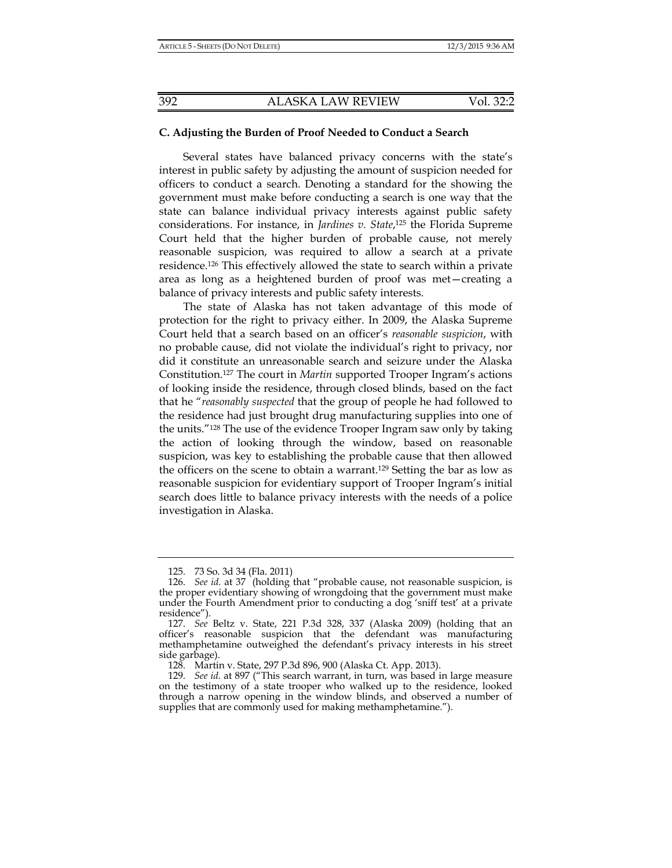# **C. Adjusting the Burden of Proof Needed to Conduct a Search**

Several states have balanced privacy concerns with the state's interest in public safety by adjusting the amount of suspicion needed for officers to conduct a search. Denoting a standard for the showing the government must make before conducting a search is one way that the state can balance individual privacy interests against public safety considerations. For instance, in *Jardines v. State*, 125 the Florida Supreme Court held that the higher burden of probable cause, not merely reasonable suspicion, was required to allow a search at a private residence.126 This effectively allowed the state to search within a private area as long as a heightened burden of proof was met—creating a balance of privacy interests and public safety interests.

The state of Alaska has not taken advantage of this mode of protection for the right to privacy either. In 2009, the Alaska Supreme Court held that a search based on an officer's *reasonable suspicion*, with no probable cause, did not violate the individual's right to privacy, nor did it constitute an unreasonable search and seizure under the Alaska Constitution.127 The court in *Martin* supported Trooper Ingram's actions of looking inside the residence, through closed blinds, based on the fact that he "*reasonably suspected* that the group of people he had followed to the residence had just brought drug manufacturing supplies into one of the units."128 The use of the evidence Trooper Ingram saw only by taking the action of looking through the window, based on reasonable suspicion, was key to establishing the probable cause that then allowed the officers on the scene to obtain a warrant.129 Setting the bar as low as reasonable suspicion for evidentiary support of Trooper Ingram's initial search does little to balance privacy interests with the needs of a police investigation in Alaska.

 <sup>125. 73</sup> So. 3d 34 (Fla. 2011)

 <sup>126.</sup> *See id.* at 37 (holding that "probable cause, not reasonable suspicion, is the proper evidentiary showing of wrongdoing that the government must make under the Fourth Amendment prior to conducting a dog 'sniff test' at a private residence").

 <sup>127.</sup> *See* Beltz v. State, 221 P.3d 328, 337 (Alaska 2009) (holding that an officer's reasonable suspicion that the defendant was manufacturing methamphetamine outweighed the defendant's privacy interests in his street side garbage).

 <sup>128.</sup> Martin v. State, 297 P.3d 896, 900 (Alaska Ct. App. 2013).

 <sup>129.</sup> *See id.* at 897 ("This search warrant, in turn, was based in large measure on the testimony of a state trooper who walked up to the residence, looked through a narrow opening in the window blinds, and observed a number of supplies that are commonly used for making methamphetamine.").